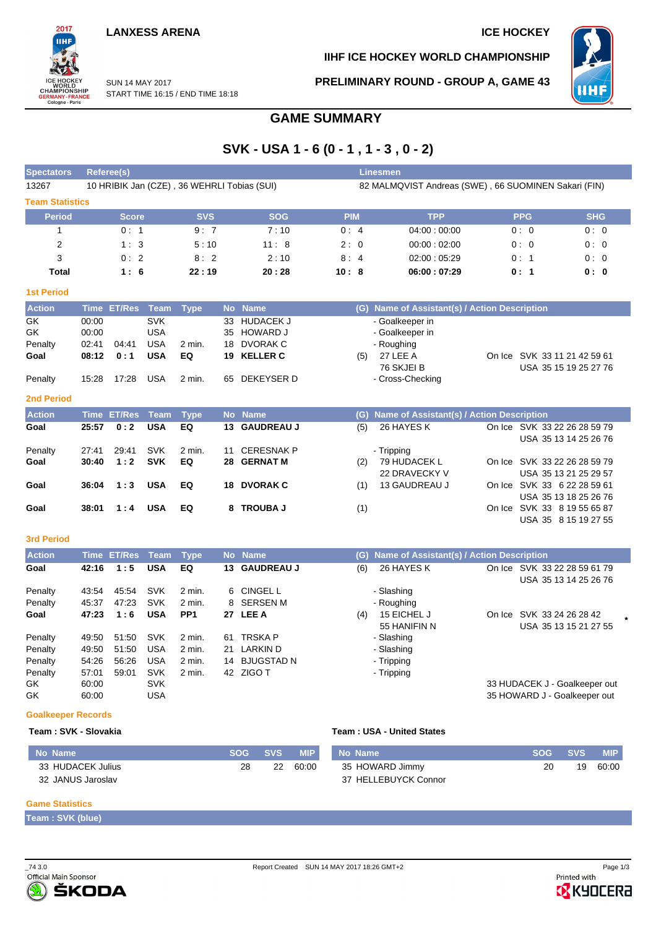#### **LANXESS ARENA ICE HOCKEY**



**IIHF ICE HOCKEY WORLD CHAMPIONSHIP**

**PRELIMINARY ROUND - GROUP A, GAME 43**



SUN 14 MAY 2017 START TIME 16:15 / END TIME 18:18

## **GAME SUMMARY**

# **SVK - USA 1 - 6 (0 - 1 , 1 - 3 , 0 - 2)**

| <b>Spectators</b>      |                                                                                                     | <b>Referee(s)</b>  |             |                 |           |                   |            |     | <b>Linesmen</b>                               |  |                                                       |            |  |
|------------------------|-----------------------------------------------------------------------------------------------------|--------------------|-------------|-----------------|-----------|-------------------|------------|-----|-----------------------------------------------|--|-------------------------------------------------------|------------|--|
| 13267                  | 10 HRIBIK Jan (CZE), 36 WEHRLI Tobias (SUI)<br>82 MALMQVIST Andreas (SWE), 66 SUOMINEN Sakari (FIN) |                    |             |                 |           |                   |            |     |                                               |  |                                                       |            |  |
| <b>Team Statistics</b> |                                                                                                     |                    |             |                 |           |                   |            |     |                                               |  |                                                       |            |  |
| <b>Period</b>          |                                                                                                     | <b>Score</b>       |             | <b>SVS</b>      |           | <b>SOG</b>        | <b>PIM</b> |     | <b>TPP</b>                                    |  | <b>PPG</b>                                            | <b>SHG</b> |  |
| 1                      |                                                                                                     | 0:1                |             | 9:7             |           | 7:10              | 0:4        |     | 04:00:00:00                                   |  | 0:0                                                   | 0:0        |  |
| 2                      |                                                                                                     | 1:3                |             | 5:10            |           | 11:8              | 2:0        |     | 00:00:02:00                                   |  | 0:0                                                   | 0:0        |  |
| 3                      |                                                                                                     | 0:2                |             | 8:2             |           | 2:10              | 8:4        |     | 02:00:05:29                                   |  | 0:1                                                   | 0:0        |  |
| Total                  |                                                                                                     | 1:6                |             | 22:19           |           | 20:28             | 10:8       |     | 06:00:07:29                                   |  | 0: 1                                                  | 0: 0       |  |
| <b>1st Period</b>      |                                                                                                     |                    |             |                 |           |                   |            |     |                                               |  |                                                       |            |  |
| <b>Action</b>          | <b>Time</b>                                                                                         | <b>ET/Res</b>      | <b>Team</b> | <b>Type</b>     | <b>No</b> | <b>Name</b>       |            | (G) | Name of Assistant(s) / Action Description     |  |                                                       |            |  |
| GK                     | 00:00                                                                                               |                    | <b>SVK</b>  |                 | 33        | <b>HUDACEK J</b>  |            |     | - Goalkeeper in                               |  |                                                       |            |  |
| GK                     | 00:00                                                                                               |                    | <b>USA</b>  |                 | 35        | <b>HOWARD J</b>   |            |     | - Goalkeeper in                               |  |                                                       |            |  |
| Penalty                | 02:41                                                                                               | 04:41              | <b>USA</b>  | 2 min.          | 18        | <b>DVORAK C</b>   |            |     | - Roughing                                    |  |                                                       |            |  |
| Goal                   | 08:12                                                                                               | 0:1                | <b>USA</b>  | EQ              | 19        | <b>KELLER C</b>   |            | (5) | 27 LEE A                                      |  | On Ice SVK 33 11 21 42 59 61                          |            |  |
|                        |                                                                                                     |                    |             |                 |           |                   |            |     | 76 SKJEI B                                    |  | USA 35 15 19 25 27 76                                 |            |  |
| Penalty                | 15:28                                                                                               | 17:28              | <b>USA</b>  | 2 min.          | 65        | <b>DEKEYSER D</b> |            |     | - Cross-Checking                              |  |                                                       |            |  |
| <b>2nd Period</b>      |                                                                                                     |                    |             |                 |           |                   |            |     |                                               |  |                                                       |            |  |
| <b>Action</b>          |                                                                                                     | <b>Time ET/Res</b> | <b>Team</b> | <b>Type</b>     |           | No Name           |            |     | (G) Name of Assistant(s) / Action Description |  |                                                       |            |  |
| Goal                   | 25:57                                                                                               | 0:2                | <b>USA</b>  | EQ              |           | 13 GAUDREAU J     |            | (5) | 26 HAYES K                                    |  | On Ice SVK 33 22 26 28 59 79<br>USA 35 13 14 25 26 76 |            |  |
| Penalty                | 27:41                                                                                               | 29:41              | <b>SVK</b>  | 2 min.          | 11        | <b>CERESNAK P</b> |            |     | - Tripping                                    |  |                                                       |            |  |
| Goal                   | 30:40                                                                                               | 1:2                | <b>SVK</b>  | EQ              | 28        | <b>GERNAT M</b>   |            | (2) | 79 HUDACEK L                                  |  | On Ice SVK 33 22 26 28 59 79                          |            |  |
|                        |                                                                                                     |                    |             |                 |           |                   |            |     | 22 DRAVECKY V                                 |  | USA 35 13 21 25 29 57                                 |            |  |
| Goal                   | 36:04                                                                                               | 1:3                | <b>USA</b>  | EQ              |           | 18 DVORAK C       |            | (1) | 13 GAUDREAU J                                 |  | On Ice SVK 33 6 22 28 59 61                           |            |  |
|                        |                                                                                                     |                    |             |                 |           |                   |            |     |                                               |  | USA 35 13 18 25 26 76                                 |            |  |
| Goal                   | 38:01                                                                                               | 1:4                | <b>USA</b>  | EQ              | 8         | <b>TROUBA J</b>   |            | (1) |                                               |  | On Ice SVK 33 8 19 55 65 87                           |            |  |
|                        |                                                                                                     |                    |             |                 |           |                   |            |     |                                               |  | USA 35 8 15 19 27 55                                  |            |  |
| <b>3rd Period</b>      |                                                                                                     |                    |             |                 |           |                   |            |     |                                               |  |                                                       |            |  |
| <b>Action</b>          |                                                                                                     | <b>Time ET/Res</b> | Team        | <b>Type</b>     |           | No Name           |            |     | (G) Name of Assistant(s) / Action Description |  |                                                       |            |  |
| Goal                   | 42:16                                                                                               | 1:5                | <b>USA</b>  | EQ              |           | 13 GAUDREAU J     |            | (6) | 26 HAYES K                                    |  | On Ice SVK 33 22 28 59 61 79<br>USA 35 13 14 25 26 76 |            |  |
| Penalty                | 43:54                                                                                               | 45:54              | <b>SVK</b>  | 2 min.          | 6         | <b>CINGEL L</b>   |            |     | - Slashing                                    |  |                                                       |            |  |
| Penalty                | 45:37                                                                                               | 47:23              | SVK         | 2 min.          | 8         | <b>SERSEN M</b>   |            |     | - Roughing                                    |  |                                                       |            |  |
| Goal                   | 47:23                                                                                               | 1:6                | <b>USA</b>  | PP <sub>1</sub> |           | 27 LEE A          |            | (4) | 15 EICHEL J<br>55 HANIFIN N                   |  | On Ice SVK 33 24 26 28 42<br>USA 35 13 15 21 27 55    |            |  |
| Penaltv                | 49:50                                                                                               | 51:50              | <b>SVK</b>  | 2 min.          |           | 61 TRSKA P        |            |     | - Slashing                                    |  |                                                       |            |  |

**Game Statistics**

**Team : SVK (blue)**

**Goalkeeper Records**

33 HUDACEK Julius 32 JANUS Jaroslav



35 HOWARD Jimmy 37 HELLEBUYCK Connor

GK 60:00 SVK 50:00 SVK 50 SV SVK 533 HUDACEK J - Goalkeeper out GK 60:00 USA 35 HOWARD J - Goalkeeper out

Penalty 49:50 51:50 USA 2 min. 21 LARKIN D - Slashing Penalty 54:26 56:26 USA 2 min. 14 BJUGSTAD N - Tripping Penalty 57:01 59:01 SVK 2 min. 42 ZIGO T - Tripping

**No Name SOG SVS MIP**

**Team : SVK - Slovakia Team : USA - United States**

28 22 60:00

**B** KYOCERA

20 19 60:00

**No Name SOG SVS MIP**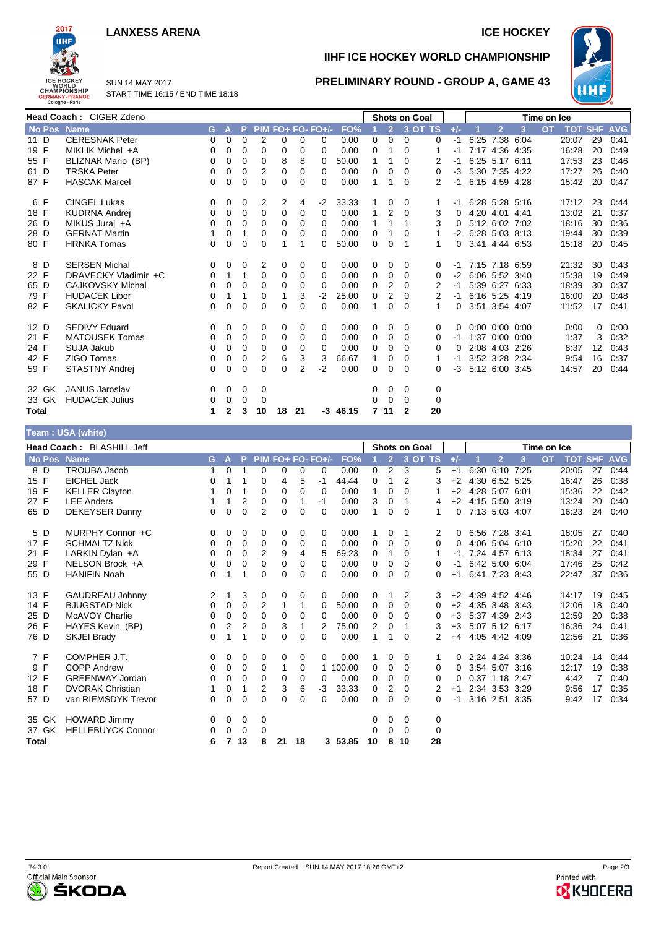#### **LANXESS ARENA ICE HOCKEY**



**IIHF ICE HOCKEY WORLD CHAMPIONSHIP**

**PRELIMINARY ROUND - GROUP A, GAME 43**



SUN 14 MAY 2017 START TIME 16:15 / END TIME 18:18

|              | Head Coach: CIGER Zdeno |    |              |          |          |          |          |                   |       |   |                | <b>Shots on Goal</b> |             |          |      |                |                      | Time on Ice |            |            |            |
|--------------|-------------------------|----|--------------|----------|----------|----------|----------|-------------------|-------|---|----------------|----------------------|-------------|----------|------|----------------|----------------------|-------------|------------|------------|------------|
| No Pos Name  |                         | G. | Α            | P        |          |          |          | PIM FO+ FO- FO+/- | FO%   |   | $\overline{2}$ |                      | $3$ OT TS   | $+/-$    |      | $\overline{2}$ | 3                    | <b>OT</b>   | <b>TOT</b> | <b>SHF</b> | <b>AVG</b> |
| 11 D         | <b>CERESNAK Peter</b>   | 0  | 0            | 0        | 2        | 0        | 0        | 0                 | 0.00  | 0 | 0              | 0                    | 0           | -1       | 6:25 |                | 7:38 6:04            |             | 20:07      | 29         | 0:41       |
| 19 F         | MIKLIK Michel +A        | 0  | 0            | $\Omega$ | 0        | 0        | 0        | 0                 | 0.00  | 0 |                | $\Omega$             |             | -1       |      | 7:17 4:36 4:35 |                      |             | 16:28      | 20         | 0:49       |
| 55 F         | BLIZNAK Mario (BP)      | 0  | 0            | 0        | 0        | 8        | 8        | 0                 | 50.00 | 1 |                | 0                    | 2           | -1       |      | 6:25 5:17 6:11 |                      |             | 17:53      | 23         | 0:46       |
| 61 D         | <b>TRSKA Peter</b>      | 0  | 0            | 0        | 2        | 0        | 0        | $\Omega$          | 0.00  | 0 | 0              | $\Omega$             | 0           | $-3$     |      | 5:30 7:35 4:22 |                      |             | 17:27      | 26         | 0:40       |
| 87 F         | <b>HASCAK Marcel</b>    | 0  | 0            | 0        | 0        | 0        | 0        | 0                 | 0.00  |   |                | 0                    | 2           |          |      | 6:15 4:59 4:28 |                      |             | 15:42      | 20         | 0:47       |
| 6 F          | <b>CINGEL Lukas</b>     | 0  | 0            | 0        | 2        | 2        | 4        | $-2$              | 33.33 |   | 0              | 0                    |             |          |      |                | 6:28 5:28 5:16       |             | 17:12      | 23         | 0:44       |
| 18 F         | <b>KUDRNA Andrei</b>    | 0  | 0            | 0        | $\Omega$ | 0        | $\Omega$ | $\Omega$          | 0.00  |   | 2              | 0                    | 3           | $\Omega$ |      | 4:20 4:01 4:41 |                      |             | 13:02      | 21         | 0:37       |
| 26 D         | MIKUS Juraj +A          | 0  | 0            | $\Omega$ | 0        | 0        | 0        | $\Omega$          | 0.00  |   |                | 1                    | 3           | 0        |      | 5:12 6:02 7:02 |                      |             | 18:16      | 30         | 0:36       |
| 28 D         | <b>GERNAT Martin</b>    |    | 0            | 1        | 0        | 0        | 0        | $\Omega$          | 0.00  | 0 |                | 0                    |             | $-2$     |      | 6:28 5:03 8:13 |                      |             | 19:44      | 30         | 0:39       |
| 80 F         | <b>HRNKA Tomas</b>      | 0  | 0            | 0        | 0        |          |          | 0                 | 50.00 | 0 | 0              |                      | 1           | 0        |      | 3:41 4:44 6:53 |                      |             | 15:18      | 20         | 0:45       |
| 8 D          | <b>SERSEN Michal</b>    | 0  | 0            | 0        | 2        | 0        | 0        | $\Omega$          | 0.00  | 0 | 0              | $\Omega$             | 0           | -1       |      | 7:15 7:18 6:59 |                      |             | 21:32      | 30         | 0:43       |
| 22 F         | DRAVECKY Vladimir +C    | 0  | 1            | 1        | 0        | 0        | 0        | $\Omega$          | 0.00  | 0 | 0              | 0                    | 0           | $-2$     |      | 6:06 5:52 3:40 |                      |             | 15:38      | 19         | 0:49       |
| 65 D         | <b>CAJKOVSKY Michal</b> | 0  | 0            | 0        | 0        | 0        | 0        | $\Omega$          | 0.00  | 0 | 2              | $\Omega$             | 2           | -1       |      | 5:39 6:27 6:33 |                      |             | 18:39      | 30         | 0:37       |
| 79 F         | <b>HUDACEK Libor</b>    | 0  |              | 1        | 0        | 1        | 3        | $-2$              | 25.00 | 0 | 2              | $\Omega$             | 2           | $-1$     |      | 6.16 5.25 4.19 |                      |             | 16:00      | 20         | 0:48       |
| 82 F         | <b>SKALICKY Pavol</b>   | 0  | 0            | 0        | 0        | 0        | 0        | 0                 | 0.00  | 1 | $\Omega$       | $\Omega$             | 1           | 0        |      | 3:51 3:54 4:07 |                      |             | 11:52      | 17         | 0:41       |
| 12 D         | <b>SEDIVY Eduard</b>    | 0  | 0            | 0        | 0        | 0        | 0        | 0                 | 0.00  | 0 | 0              | 0                    | 0           | 0        |      |                | $0:00$ $0:00$ $0:00$ |             | 0:00       | 0          | 0:00       |
| 21 F         | <b>MATOUSEK Tomas</b>   | 0  | 0            | 0        | 0        | 0        | 0        | 0                 | 0.00  | 0 | 0              | 0                    | 0           | -1       |      | 1:37 0:00 0:00 |                      |             | 1:37       | 3          | 0:32       |
| 24 F         | SUJA Jakub              | 0  | 0            | 0        | 0        | 0        | 0        | $\Omega$          | 0.00  | 0 | 0              | $\Omega$             | 0           | 0        |      | 2:08 4:03 2:26 |                      |             | 8:37       | 12         | 0:43       |
| 42 F         | <b>ZIGO Tomas</b>       | 0  | 0            | 0        | 2        | 6        | 3        | 3                 | 66.67 |   | 0              | 0                    |             |          |      | 3:52 3:28 2:34 |                      |             | 9:54       | 16         | 0:37       |
| 59 F         | STASTNY Andrej          | 0  | 0            | 0        | 0        | $\Omega$ | 2        | $-2$              | 0.00  | 0 | 0              | 0                    | 0           | -3       |      | 5:12 6:00 3:45 |                      |             | 14:57      | 20         | 0:44       |
| 32 GK        | <b>JANUS Jaroslav</b>   | 0  | $\mathbf{0}$ | 0        | 0        |          |          |                   |       | 0 | 0              | 0                    | 0           |          |      |                |                      |             |            |            |            |
| 33 GK        | <b>HUDACEK Julius</b>   | 0  | 0            | 0        | 0        |          |          |                   |       | 0 | 0              | 0                    | $\mathbf 0$ |          |      |                |                      |             |            |            |            |
| <b>Total</b> |                         | 1  | 2            | 3        | 10       | 18       | 21       | -3                | 46.15 | 7 | 11             | 2                    | 20          |          |      |                |                      |             |            |            |            |

#### **Team : USA (white)**

|              |               | Head Coach: BLASHILL Jeff |    |                |          |                |          |    |                   |         |          |                | <b>Shots on Goal</b> |                |          |                     |      | Time on Ice |            |            |            |
|--------------|---------------|---------------------------|----|----------------|----------|----------------|----------|----|-------------------|---------|----------|----------------|----------------------|----------------|----------|---------------------|------|-------------|------------|------------|------------|
|              | <b>No Pos</b> | <b>Name</b>               | G. | $\overline{A}$ | P        |                |          |    | PIM FO+ FO- FO+/- | FO%     |          | $\overline{2}$ | 3 OT TS              |                | $+/-$    | $\overline{2}$      | 3    | <b>OT</b>   | <b>TOT</b> | <b>SHF</b> | <b>AVG</b> |
| 8 D          |               | <b>TROUBA Jacob</b>       | 1  | 0              |          | $\Omega$       | 0        | 0  | 0                 | 0.00    | $\Omega$ | $\overline{2}$ | 3                    | 5              | $+1$     | 6:30 6:10           | 7:25 |             | 20:05      | 27         | 0:44       |
| 15 F         |               | <b>EICHEL Jack</b>        | 0  | 1              |          | 0              | 4        | 5  | -1                | 44.44   | $\Omega$ | 1              | 2                    | 3              | $+2$     | 4:30 6:52 5:25      |      |             | 16:47      | 26         | 0:38       |
| 19 F         |               | <b>KELLER Clayton</b>     |    | 0              | 1        | 0              | 0        | 0  | 0                 | 0.00    | 1        | 0              | 0                    |                | $+2$     | 4:28 5:07 6:01      |      |             | 15:36      | 22         | 0:42       |
| 27 F         |               | <b>LEE Anders</b>         |    | 1              | 2        | 0              | 0        | 1  | $-1$              | 0.00    | 3        | 0              | 1                    | 4              |          | $+2$ 4:15 5:50 3:19 |      |             | 13:24      | 20         | 0:40       |
| 65 D         |               | <b>DEKEYSER Danny</b>     | 0  | 0              | $\Omega$ | $\overline{2}$ | $\Omega$ | 0  | $\Omega$          | 0.00    | 1        | 0              | 0                    | 1              | 0        | 7:13 5:03 4:07      |      |             | 16:23      | 24         | 0:40       |
| 5 D          |               | MURPHY Connor +C          | 0  | 0              | 0        | 0              | 0        | 0  | 0                 | 0.00    |          | 0              |                      | 2              | 0        | 6:56 7:28 3:41      |      |             | 18:05      | 27         | 0:40       |
| 17 F         |               | <b>SCHMALTZ Nick</b>      | 0  | 0              | 0        | 0              | 0        | 0  | 0                 | 0.00    | 0        | 0              | 0                    | 0              | $\Omega$ | 4:06 5:04 6:10      |      |             | 15:20      | 22         | 0:41       |
| 21 F         |               | LARKIN Dylan +A           | 0  | 0              | 0        | $\overline{2}$ | 9        | 4  | 5                 | 69.23   | 0        | 1              | 0                    |                | -1       | 7:24 4:57 6:13      |      |             | 18:34      | 27         | 0:41       |
| 29 F         |               | NELSON Brock +A           | 0  | 0              | $\Omega$ | $\Omega$       | 0        | 0  | 0                 | 0.00    | 0        | 0              | 0                    | 0              | $-1$     | 6:42 5:00 6:04      |      |             | 17:46      | 25         | 0:42       |
| 55 D         |               | <b>HANIFIN Noah</b>       | 0  |                |          | $\Omega$       | $\Omega$ | 0  | 0                 | 0.00    | $\Omega$ | 0              | $\Omega$             | 0              | $+1$     | 6:41 7:23 8:43      |      |             | 22:47      | 37         | 0:36       |
| 13 F         |               | <b>GAUDREAU Johnny</b>    | 2  | 1              | 3        | 0              | 0        | 0  | 0                 | 0.00    | 0        | 1              | 2                    | 3              | $+2$     | 4:39 4:52 4:46      |      |             | 14:17      | 19         | 0:45       |
| 14 F         |               | <b>BJUGSTAD Nick</b>      | 0  | 0              | 0        | 2              | 1        | 1  | 0                 | 50.00   | 0        | 0              | 0                    | 0              | $+2$     | 4:35 3:48 3:43      |      |             | 12:06      | 18         | 0:40       |
| 25 D         |               | <b>McAVOY Charlie</b>     | 0  | 0              | 0        | $\Omega$       | 0        | 0  | $\Omega$          | 0.00    | 0        | 0              | 0                    | 0              | $+3$     | 5:37 4:39 2:43      |      |             | 12:59      | 20         | 0:38       |
| 26 F         |               | HAYES Kevin (BP)          | 0  | 2              | 2        | 0              | 3        | 1  | 2                 | 75.00   | 2        | 0              |                      | 3              | $+3$     | 5:07 5:12 6:17      |      |             | 16:36      | 24         | 0:41       |
| 76 D         |               | SKJEI Brady               | 0  | 1              | 1        | $\Omega$       | $\Omega$ | 0  | 0                 | 0.00    | 1        | 1              | $\Omega$             | $\overline{2}$ | $+4$     | 4:05 4:42 4:09      |      |             | 12:56      | 21         | 0:36       |
| 7 F          |               | COMPHER J.T.              | 0  | 0              | 0        | 0              | 0        | 0  | 0                 | 0.00    | 1        | 0              | 0                    |                | $\Omega$ | 2:24 4:24 3:36      |      |             | 10:24      | 14         | 0:44       |
| 9 F          |               | <b>COPP Andrew</b>        | 0  | 0              | 0        | 0              | 1        | 0  | 1                 | 100.00  | 0        | 0              | $\Omega$             | 0              | 0        | 3:54 5:07 3:16      |      |             | 12:17      | 19         | 0:38       |
| 12 F         |               | <b>GREENWAY Jordan</b>    | 0  | 0              | 0        | 0              | 0        | 0  | 0                 | 0.00    | 0        | 0              | 0                    | 0              | 0        | 0:37 1:18 2:47      |      |             | 4:42       |            | 0:40       |
| 18 F         |               | <b>DVORAK Christian</b>   |    | 0              | 1        | 2              | 3        | 6  | -3                | 33.33   | 0        | 2              | 0                    |                | $+1$     | 2:34 3:53 3:29      |      |             | 9:56       | 17         | 0:35       |
| 57 D         |               | van RIEMSDYK Trevor       | 0  | 0              | 0        | $\Omega$       | $\Omega$ | 0  | $\Omega$          | 0.00    | 0        | 0              | 0                    | 0              | $-1$     | 3:16 2:51 3:35      |      |             | 9:42       | 17         | 0:34       |
| 35 GK        |               | <b>HOWARD Jimmy</b>       | 0  | 0              | 0        | 0              |          |    |                   |         | 0        | 0              | 0                    | 0              |          |                     |      |             |            |            |            |
| 37 GK        |               | <b>HELLEBUYCK Connor</b>  | 0  | 0              | 0        | 0              |          |    |                   |         | 0        | 0              | $\Omega$             | 0              |          |                     |      |             |            |            |            |
| <b>Total</b> |               |                           | 6  | 7              | 13       | 8              | 21       | 18 |                   | 3 53.85 | 10       | 8              | 10                   | 28             |          |                     |      |             |            |            |            |